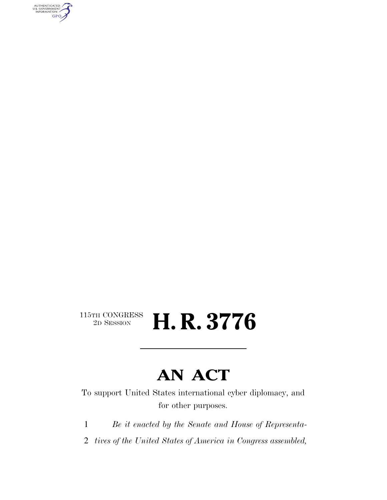AUTHENTICATED<br>U.S. GOVERNMENT<br>INFORMATION GPO

### $\begin{array}{c} \textbf{115TH CONGRESS} \\ \textbf{2D} \textbf{SESSION} \end{array}$ 2D SESSION **H. R. 3776**

# **AN ACT**

To support United States international cyber diplomacy, and for other purposes.

1 *Be it enacted by the Senate and House of Representa-*

2 *tives of the United States of America in Congress assembled,*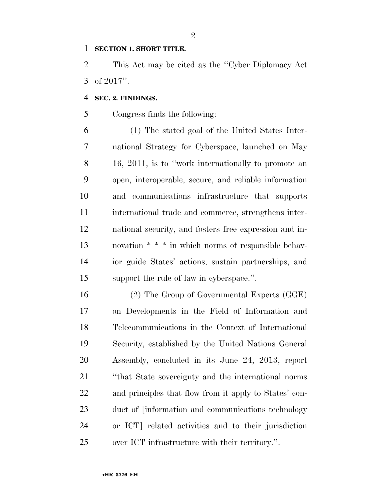### **SECTION 1. SHORT TITLE.**

 This Act may be cited as the ''Cyber Diplomacy Act of 2017''.

#### **SEC. 2. FINDINGS.**

Congress finds the following:

 (1) The stated goal of the United States Inter- national Strategy for Cyberspace, launched on May 16, 2011, is to ''work internationally to promote an open, interoperable, secure, and reliable information and communications infrastructure that supports international trade and commerce, strengthens inter- national security, and fosters free expression and in- novation \* \* \* in which norms of responsible behav- ior guide States' actions, sustain partnerships, and support the rule of law in cyberspace.''.

 (2) The Group of Governmental Experts (GGE) on Developments in the Field of Information and Telecommunications in the Context of International Security, established by the United Nations General Assembly, concluded in its June 24, 2013, report ''that State sovereignty and the international norms and principles that flow from it apply to States' con- duct of [information and communications technology or ICT] related activities and to their jurisdiction over ICT infrastructure with their territory.''.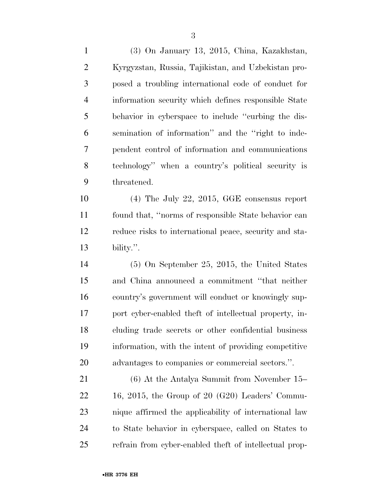(3) On January 13, 2015, China, Kazakhstan, Kyrgyzstan, Russia, Tajikistan, and Uzbekistan pro- posed a troubling international code of conduct for information security which defines responsible State behavior in cyberspace to include ''curbing the dis- semination of information'' and the ''right to inde- pendent control of information and communications technology'' when a country's political security is threatened.

 (4) The July 22, 2015, GGE consensus report found that, ''norms of responsible State behavior can reduce risks to international peace, security and sta-bility.''.

 (5) On September 25, 2015, the United States and China announced a commitment ''that neither country's government will conduct or knowingly sup- port cyber-enabled theft of intellectual property, in- cluding trade secrets or other confidential business information, with the intent of providing competitive advantages to companies or commercial sectors.''.

 (6) At the Antalya Summit from November 15–  $22 \qquad 16, 2015$ , the Group of  $20 \text{ (G20)}$  Leaders' Commu- nique affirmed the applicability of international law to State behavior in cyberspace, called on States to refrain from cyber-enabled theft of intellectual prop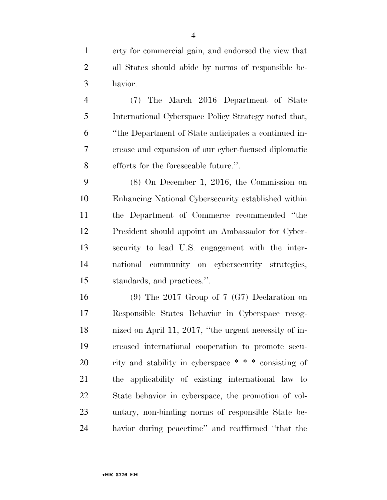erty for commercial gain, and endorsed the view that all States should abide by norms of responsible be-havior.

 (7) The March 2016 Department of State International Cyberspace Policy Strategy noted that, ''the Department of State anticipates a continued in- crease and expansion of our cyber-focused diplomatic efforts for the foreseeable future.''.

 (8) On December 1, 2016, the Commission on Enhancing National Cybersecurity established within the Department of Commerce recommended ''the President should appoint an Ambassador for Cyber- security to lead U.S. engagement with the inter- national community on cybersecurity strategies, standards, and practices.''.

 (9) The 2017 Group of 7 (G7) Declaration on Responsible States Behavior in Cyberspace recog- nized on April 11, 2017, ''the urgent necessity of in- creased international cooperation to promote secu- rity and stability in cyberspace \* \* \* consisting of the applicability of existing international law to State behavior in cyberspace, the promotion of vol- untary, non-binding norms of responsible State be-havior during peacetime'' and reaffirmed ''that the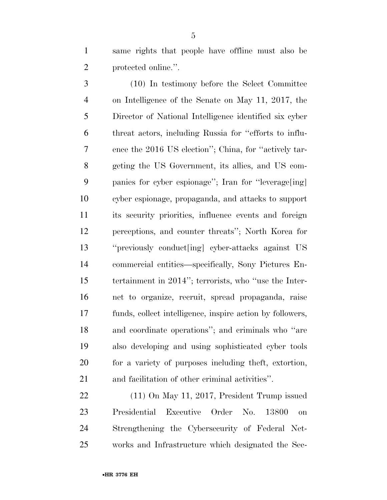same rights that people have offline must also be protected online.''.

 (10) In testimony before the Select Committee on Intelligence of the Senate on May 11, 2017, the Director of National Intelligence identified six cyber threat actors, including Russia for ''efforts to influ- ence the 2016 US election''; China, for ''actively tar- geting the US Government, its allies, and US com- panies for cyber espionage''; Iran for ''leverage[ing] cyber espionage, propaganda, and attacks to support its security priorities, influence events and foreign perceptions, and counter threats''; North Korea for ''previously conduct[ing] cyber-attacks against US commercial entities—specifically, Sony Pictures En- tertainment in 2014''; terrorists, who ''use the Inter- net to organize, recruit, spread propaganda, raise funds, collect intelligence, inspire action by followers, and coordinate operations''; and criminals who ''are also developing and using sophisticated cyber tools for a variety of purposes including theft, extortion, and facilitation of other criminal activities''.

 (11) On May 11, 2017, President Trump issued Presidential Executive Order No. 13800 on Strengthening the Cybersecurity of Federal Net-works and Infrastructure which designated the Sec-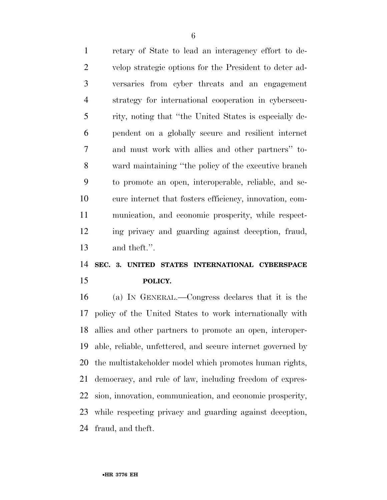retary of State to lead an interagency effort to de- velop strategic options for the President to deter ad- versaries from cyber threats and an engagement strategy for international cooperation in cybersecu- rity, noting that ''the United States is especially de- pendent on a globally secure and resilient internet and must work with allies and other partners'' to- ward maintaining ''the policy of the executive branch to promote an open, interoperable, reliable, and se- cure internet that fosters efficiency, innovation, com- munication, and economic prosperity, while respect- ing privacy and guarding against deception, fraud, and theft.''.

# **SEC. 3. UNITED STATES INTERNATIONAL CYBERSPACE POLICY.**

 (a) IN GENERAL.—Congress declares that it is the policy of the United States to work internationally with allies and other partners to promote an open, interoper- able, reliable, unfettered, and secure internet governed by the multistakeholder model which promotes human rights, democracy, and rule of law, including freedom of expres- sion, innovation, communication, and economic prosperity, while respecting privacy and guarding against deception, fraud, and theft.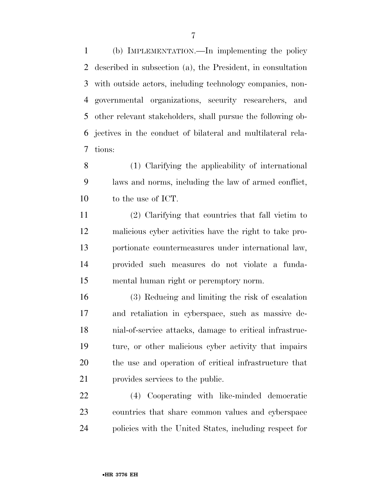(b) IMPLEMENTATION.—In implementing the policy described in subsection (a), the President, in consultation with outside actors, including technology companies, non- governmental organizations, security researchers, and other relevant stakeholders, shall pursue the following ob- jectives in the conduct of bilateral and multilateral rela-tions:

 (1) Clarifying the applicability of international laws and norms, including the law of armed conflict, to the use of ICT.

 (2) Clarifying that countries that fall victim to malicious cyber activities have the right to take pro- portionate countermeasures under international law, provided such measures do not violate a funda-mental human right or peremptory norm.

 (3) Reducing and limiting the risk of escalation and retaliation in cyberspace, such as massive de- nial-of-service attacks, damage to critical infrastruc- ture, or other malicious cyber activity that impairs the use and operation of critical infrastructure that provides services to the public.

 (4) Cooperating with like-minded democratic countries that share common values and cyberspace policies with the United States, including respect for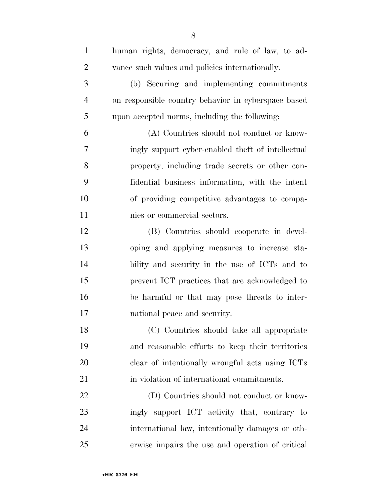| $\mathbf{1}$   | human rights, democracy, and rule of law, to ad-    |
|----------------|-----------------------------------------------------|
| $\overline{2}$ | vance such values and policies internationally.     |
| 3              | (5) Securing and implementing commitments           |
| $\overline{4}$ | on responsible country behavior in cyberspace based |
| 5              | upon accepted norms, including the following:       |
| 6              | (A) Countries should not conduct or know-           |
| 7              | ingly support cyber-enabled theft of intellectual   |
| 8              | property, including trade secrets or other con-     |
| 9              | fidential business information, with the intent     |
| 10             | of providing competitive advantages to compa-       |
| 11             | nies or commercial sectors.                         |
| 12             | (B) Countries should cooperate in devel-            |
| 13             | oping and applying measures to increase sta-        |
| 14             | bility and security in the use of ICTs and to       |
| 15             | prevent ICT practices that are acknowledged to      |
| 16             | be harmful or that may pose threats to inter-       |
| 17             | national peace and security.                        |
| 18             | (C) Countries should take all appropriate           |
| 19             | and reasonable efforts to keep their territories    |
| 20             | clear of intentionally wrongful acts using ICTs     |
| 21             | in violation of international commitments.          |
| 22             | (D) Countries should not conduct or know-           |
| 23             | ingly support ICT activity that, contrary to        |
| 24             | international law, intentionally damages or oth-    |
| 25             | erwise impairs the use and operation of critical    |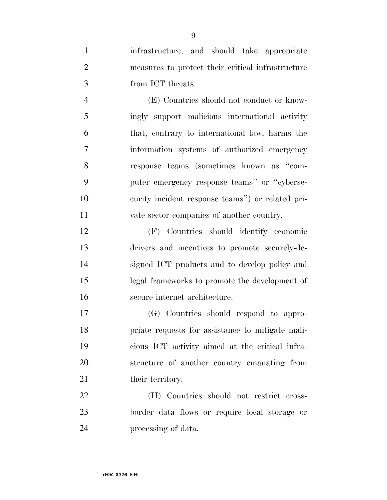infrastructure, and should take appropriate measures to protect their critical infrastructure from ICT threats.

 (E) Countries should not conduct or know- ingly support malicious international activity that, contrary to international law, harms the information systems of authorized emergency response teams (sometimes known as ''com- puter emergency response teams'' or ''cyberse- curity incident response teams'') or related pri-vate sector companies of another country.

 (F) Countries should identify economic drivers and incentives to promote securely-de- signed ICT products and to develop policy and legal frameworks to promote the development of secure internet architecture.

 (G) Countries should respond to appro- priate requests for assistance to mitigate mali- cious ICT activity aimed at the critical infra- structure of another country emanating from 21 their territory.

 (H) Countries should not restrict cross- border data flows or require local storage or processing of data.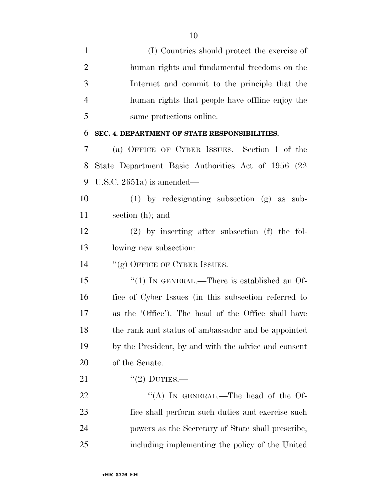| $\mathbf{1}$   | (I) Countries should protect the exercise of         |
|----------------|------------------------------------------------------|
| $\overline{2}$ | human rights and fundamental freedoms on the         |
| 3              | Internet and commit to the principle that the        |
| $\overline{4}$ | human rights that people have offline enjoy the      |
| 5              | same protections online.                             |
| 6              | SEC. 4. DEPARTMENT OF STATE RESPONSIBILITIES.        |
| 7              | (a) OFFICE OF CYBER ISSUES.—Section 1 of the         |
| 8              | State Department Basic Authorities Act of 1956 (22)  |
| 9              | U.S.C. 2651a) is amended—                            |
| 10             | $(1)$ by redesignating subsection $(g)$ as sub-      |
| 11             | section (h); and                                     |
| 12             | $(2)$ by inserting after subsection (f) the fol-     |
| 13             | lowing new subsection:                               |
| 14             | "(g) OFFICE OF CYBER ISSUES.—                        |
| 15             | "(1) IN GENERAL.—There is established an Of-         |
| 16             | fice of Cyber Issues (in this subsection referred to |
| 17             | as the 'Office'). The head of the Office shall have  |
| 18             | the rank and status of ambassador and be appointed   |
| 19             | by the President, by and with the advice and consent |
| 20             | of the Senate.                                       |
| 21             | $"(2)$ DUTIES.—                                      |
| 22             | "(A) IN GENERAL.—The head of the Of-                 |
| 23             | fice shall perform such duties and exercise such     |
| 24             | powers as the Secretary of State shall prescribe,    |
| 25             | including implementing the policy of the United      |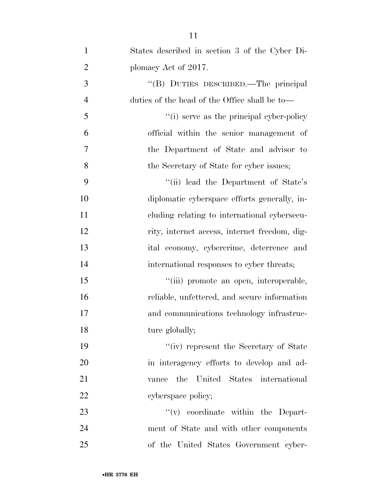| $\mathbf{1}$   | States described in section 3 of the Cyber Di- |
|----------------|------------------------------------------------|
| $\overline{2}$ | plomacy Act of 2017.                           |
| 3              | "(B) DUTIES DESCRIBED.—The principal           |
| $\overline{4}$ | duties of the head of the Office shall be to—  |
| 5              | "(i) serve as the principal cyber-policy"      |
| 6              | official within the senior management of       |
| 7              | the Department of State and advisor to         |
| 8              | the Secretary of State for cyber issues;       |
| 9              | "(ii) lead the Department of State's           |
| 10             | diplomatic cyberspace efforts generally, in-   |
| 11             | cluding relating to international cybersecu-   |
| 12             | rity, internet access, internet freedom, dig-  |
| 13             | ital economy, cybercrime, deterrence and       |
| 14             | international responses to cyber threats;      |
| 15             | "(iii) promote an open, interoperable,         |
| 16             | reliable, unfettered, and secure information   |
| 17             | and communications technology infrastruc-      |
| 18             | ture globally;                                 |
| 19             | "(iv) represent the Secretary of State         |
| 20             | in interagency efforts to develop and ad-      |
| 21             | United States international<br>the<br>vance    |
| 22             | cyberspace policy;                             |
| 23             | $f'(v)$ coordinate within the Depart-          |
| 24             | ment of State and with other components        |
| 25             | of the United States Government cyber-         |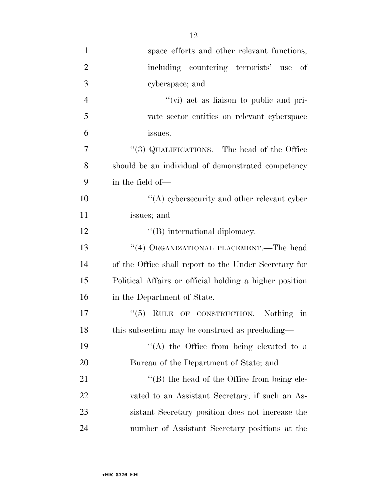| $\mathbf{1}$   | space efforts and other relevant functions,             |
|----------------|---------------------------------------------------------|
| $\overline{2}$ | including countering terrorists' use of                 |
| 3              | cyberspace; and                                         |
| $\overline{4}$ | "(vi) act as liaison to public and pri-                 |
| 5              | vate sector entities on relevant cyberspace             |
| 6              | issues.                                                 |
| 7              | "(3) QUALIFICATIONS.—The head of the Office             |
| 8              | should be an individual of demonstrated competency      |
| 9              | in the field of—                                        |
| 10             | $\lq\lq$ experimently and other relevant cyper          |
| 11             | issues; and                                             |
| 12             | $\lq\lq$ international diplomacy.                       |
| 13             | "(4) ORGANIZATIONAL PLACEMENT.—The head                 |
| 14             | of the Office shall report to the Under Secretary for   |
| 15             | Political Affairs or official holding a higher position |
| 16             | in the Department of State.                             |
| 17             | " $(5)$ RULE OF CONSTRUCTION.—Nothing in                |
| 18             | this subsection may be construed as precluding—         |
| 19             | "(A) the Office from being elevated to a                |
| 20             | Bureau of the Department of State; and                  |
| 21             | $\lq\lq$ the head of the Office from being ele-         |
| <u>22</u>      | vated to an Assistant Secretary, if such an As-         |
| 23             | sistant Secretary position does not increase the        |
| 24             | number of Assistant Secretary positions at the          |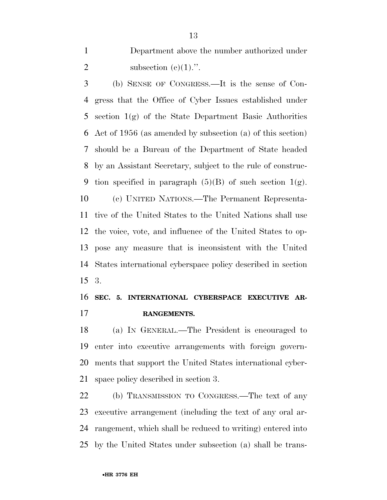Department above the number authorized under 2 subsection  $(e)(1)$ .".

 (b) SENSE OF CONGRESS.—It is the sense of Con- gress that the Office of Cyber Issues established under section 1(g) of the State Department Basic Authorities Act of 1956 (as amended by subsection (a) of this section) should be a Bureau of the Department of State headed by an Assistant Secretary, subject to the rule of construc-9 tion specified in paragraph  $(5)(B)$  of such section  $1(g)$ . (c) UNITED NATIONS.—The Permanent Representa- tive of the United States to the United Nations shall use the voice, vote, and influence of the United States to op- pose any measure that is inconsistent with the United States international cyberspace policy described in section 3.

## **SEC. 5. INTERNATIONAL CYBERSPACE EXECUTIVE AR-RANGEMENTS.**

 (a) IN GENERAL.—The President is encouraged to enter into executive arrangements with foreign govern- ments that support the United States international cyber-space policy described in section 3.

 (b) TRANSMISSION TO CONGRESS.—The text of any executive arrangement (including the text of any oral ar- rangement, which shall be reduced to writing) entered into by the United States under subsection (a) shall be trans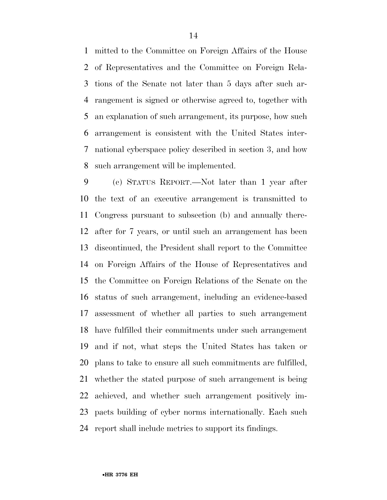mitted to the Committee on Foreign Affairs of the House of Representatives and the Committee on Foreign Rela- tions of the Senate not later than 5 days after such ar- rangement is signed or otherwise agreed to, together with an explanation of such arrangement, its purpose, how such arrangement is consistent with the United States inter- national cyberspace policy described in section 3, and how such arrangement will be implemented.

 (c) STATUS REPORT.—Not later than 1 year after the text of an executive arrangement is transmitted to Congress pursuant to subsection (b) and annually there- after for 7 years, or until such an arrangement has been discontinued, the President shall report to the Committee on Foreign Affairs of the House of Representatives and the Committee on Foreign Relations of the Senate on the status of such arrangement, including an evidence-based assessment of whether all parties to such arrangement have fulfilled their commitments under such arrangement and if not, what steps the United States has taken or plans to take to ensure all such commitments are fulfilled, whether the stated purpose of such arrangement is being achieved, and whether such arrangement positively im- pacts building of cyber norms internationally. Each such report shall include metrics to support its findings.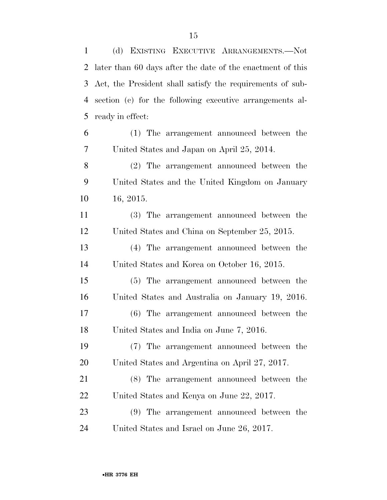(d) EXISTING EXECUTIVE ARRANGEMENTS.—Not

|                | 2 later than 60 days after the date of the enactment of this |
|----------------|--------------------------------------------------------------|
| 3              | Act, the President shall satisfy the requirements of sub-    |
| $\overline{4}$ | section (c) for the following executive arrangements al-     |
| 5              | ready in effect:                                             |
| 6              | (1) The arrangement announced between the                    |
| 7              | United States and Japan on April 25, 2014.                   |
| 8              | (2) The arrangement announced between the                    |
| 9              | United States and the United Kingdom on January              |
| 10             | 16, 2015.                                                    |
| 11             | (3) The arrangement announced between the                    |
| 12             | United States and China on September 25, 2015.               |
| 13             | (4) The arrangement announced between the                    |
| 14             | United States and Korea on October 16, 2015.                 |
| 15             | (5) The arrangement announced between the                    |
| 16             | United States and Australia on January 19, 2016.             |
| 17             | (6) The arrangement announced between the                    |
| 18             | United States and India on June 7, 2016.                     |
| 19             | (7) The arrangement announced between the                    |
| 20             | United States and Argentina on April 27, 2017.               |
| 21             | (8) The arrangement announced between the                    |
| 22             | United States and Kenya on June 22, 2017.                    |
| 23             | (9) The arrangement announced between the                    |
| 24             | United States and Israel on June 26, 2017.                   |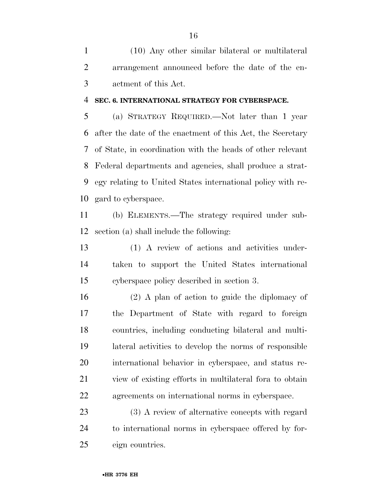(10) Any other similar bilateral or multilateral arrangement announced before the date of the en-actment of this Act.

### **SEC. 6. INTERNATIONAL STRATEGY FOR CYBERSPACE.**

 (a) STRATEGY REQUIRED.—Not later than 1 year after the date of the enactment of this Act, the Secretary of State, in coordination with the heads of other relevant Federal departments and agencies, shall produce a strat- egy relating to United States international policy with re-gard to cyberspace.

 (b) ELEMENTS.—The strategy required under sub-section (a) shall include the following:

 (1) A review of actions and activities under- taken to support the United States international cyberspace policy described in section 3.

 (2) A plan of action to guide the diplomacy of the Department of State with regard to foreign countries, including conducting bilateral and multi- lateral activities to develop the norms of responsible international behavior in cyberspace, and status re- view of existing efforts in multilateral fora to obtain agreements on international norms in cyberspace.

 (3) A review of alternative concepts with regard to international norms in cyberspace offered by for-eign countries.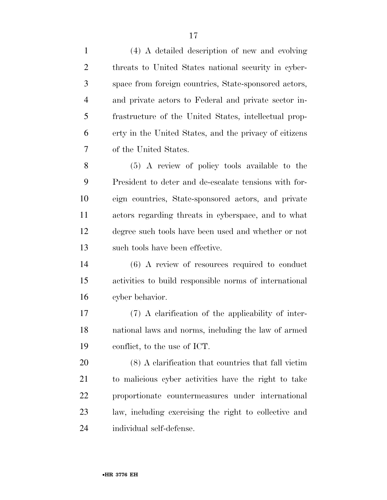(4) A detailed description of new and evolving threats to United States national security in cyber- space from foreign countries, State-sponsored actors, and private actors to Federal and private sector in- frastructure of the United States, intellectual prop- erty in the United States, and the privacy of citizens of the United States. (5) A review of policy tools available to the President to deter and de-escalate tensions with for- eign countries, State-sponsored actors, and private actors regarding threats in cyberspace, and to what degree such tools have been used and whether or not such tools have been effective.

 (6) A review of resources required to conduct activities to build responsible norms of international cyber behavior.

 (7) A clarification of the applicability of inter- national laws and norms, including the law of armed conflict, to the use of ICT.

 (8) A clarification that countries that fall victim to malicious cyber activities have the right to take proportionate countermeasures under international law, including exercising the right to collective and individual self-defense.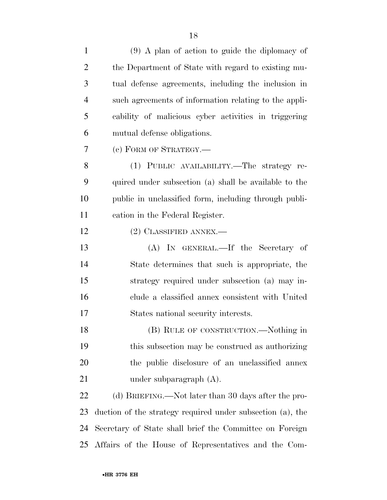| $\mathbf{1}$   | $(9)$ A plan of action to guide the diplomacy of           |
|----------------|------------------------------------------------------------|
| $\overline{2}$ | the Department of State with regard to existing mu-        |
| 3              | tual defense agreements, including the inclusion in        |
| $\overline{4}$ | such agreements of information relating to the appli-      |
| 5              | cability of malicious cyber activities in triggering       |
| 6              | mutual defense obligations.                                |
| $\overline{7}$ | (c) FORM OF STRATEGY.—                                     |
| 8              | (1) PUBLIC AVAILABILITY.—The strategy re-                  |
| 9              | quired under subsection (a) shall be available to the      |
| 10             | public in unclassified form, including through publi-      |
| 11             | cation in the Federal Register.                            |
| 12             | $(2)$ CLASSIFIED ANNEX.—                                   |
| 13             | (A) IN GENERAL.—If the Secretary of                        |
| 14             | State determines that such is appropriate, the             |
| 15             | strategy required under subsection (a) may in-             |
| 16             | clude a classified annex consistent with United            |
| 17             | States national security interests.                        |
| 18             | (B) RULE OF CONSTRUCTION.—Nothing in                       |
| 19             | this subsection may be construed as authorizing            |
| 20             | the public disclosure of an unclassified annex             |
| 21             | under subparagraph $(A)$ .                                 |
| 22             | (d) BRIEFING.—Not later than 30 days after the pro-        |
| 23             | duction of the strategy required under subsection (a), the |
| 24             | Secretary of State shall brief the Committee on Foreign    |
| 25             | Affairs of the House of Representatives and the Com-       |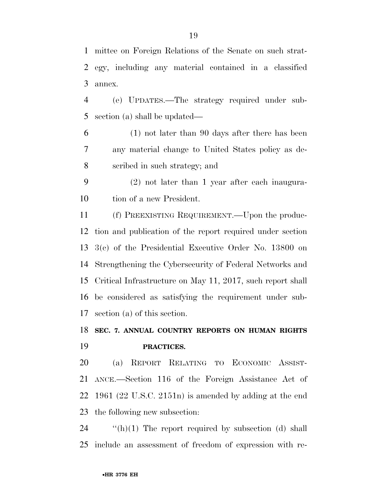mittee on Foreign Relations of the Senate on such strat- egy, including any material contained in a classified annex.

 (e) UPDATES.—The strategy required under sub-section (a) shall be updated—

 (1) not later than 90 days after there has been any material change to United States policy as de-scribed in such strategy; and

 (2) not later than 1 year after each inaugura-tion of a new President.

 (f) PREEXISTING REQUIREMENT.—Upon the produc- tion and publication of the report required under section 3(c) of the Presidential Executive Order No. 13800 on Strengthening the Cybersecurity of Federal Networks and Critical Infrastructure on May 11, 2017, such report shall be considered as satisfying the requirement under sub-section (a) of this section.

# **SEC. 7. ANNUAL COUNTRY REPORTS ON HUMAN RIGHTS PRACTICES.**

 (a) REPORT RELATING TO ECONOMIC ASSIST- ANCE.—Section 116 of the Foreign Assistance Act of 1961 (22 U.S.C. 2151n) is amended by adding at the end the following new subsection:

 ''(h)(1) The report required by subsection (d) shall include an assessment of freedom of expression with re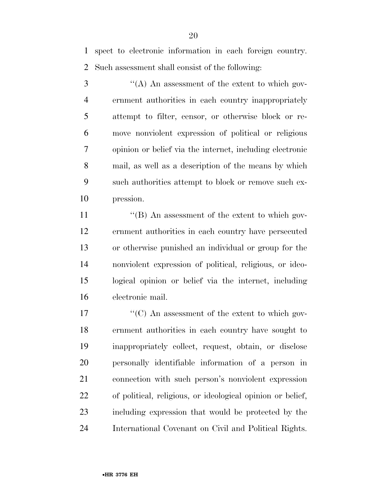spect to electronic information in each foreign country. Such assessment shall consist of the following:

 ''(A) An assessment of the extent to which gov- ernment authorities in each country inappropriately attempt to filter, censor, or otherwise block or re- move nonviolent expression of political or religious opinion or belief via the internet, including electronic mail, as well as a description of the means by which such authorities attempt to block or remove such ex-pression.

11 ''(B) An assessment of the extent to which gov- ernment authorities in each country have persecuted or otherwise punished an individual or group for the nonviolent expression of political, religious, or ideo- logical opinion or belief via the internet, including electronic mail.

 $\frac{17}{2}$  ''(C) An assessment of the extent to which gov- ernment authorities in each country have sought to inappropriately collect, request, obtain, or disclose personally identifiable information of a person in connection with such person's nonviolent expression of political, religious, or ideological opinion or belief, including expression that would be protected by the International Covenant on Civil and Political Rights.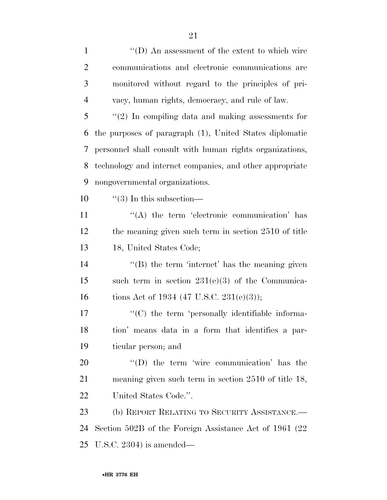| $\mathbf{1}$   | $\lq\lq$ (D) An assessment of the extent to which wire   |
|----------------|----------------------------------------------------------|
| $\overline{2}$ | communications and electronic communications are         |
| 3              | monitored without regard to the principles of pri-       |
| $\overline{4}$ | vacy, human rights, democracy, and rule of law.          |
| 5              | $\lq(2)$ In compiling data and making assessments for    |
| 6              | the purposes of paragraph (1), United States diplomatic  |
| 7              | personnel shall consult with human rights organizations, |
| 8              | technology and internet companies, and other appropriate |
| 9              | nongovernmental organizations.                           |
| 10             | $\lq(3)$ In this subsection—                             |
| 11             | "(A) the term 'electronic communication' has             |
| 12             | the meaning given such term in section 2510 of title     |
| 13             | 18, United States Code;                                  |
| 14             | $\lq\lq$ the term 'internet' has the meaning given       |
| 15             | such term in section $231(e)(3)$ of the Communica-       |
| 16             | tions Act of 1934 (47 U.S.C. 231(e)(3));                 |
| 17             | "(C) the term 'personally identifiable informa-          |
| 18             | tion' means data in a form that identifies a par-        |
| 19             | ticular person; and                                      |
| 20             | $\lq\lq$ the term 'wire communication' has the           |
| 21             | meaning given such term in section $2510$ of title 18,   |
| 22             | United States Code.".                                    |
| 23             | (b) REPORT RELATING TO SECURITY ASSISTANCE.-             |
| 24             | Section 502B of the Foreign Assistance Act of 1961 (22)  |
| 25             | U.S.C. 2304) is amended—                                 |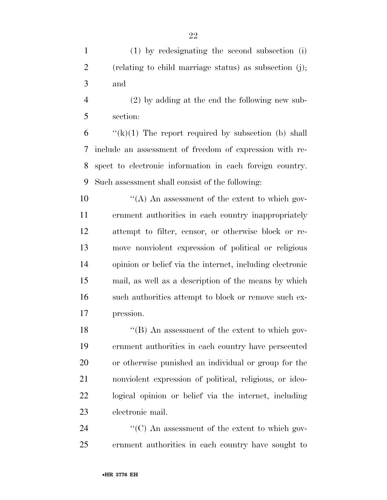(1) by redesignating the second subsection (i) (relating to child marriage status) as subsection (j); and

 (2) by adding at the end the following new sub-section:

 $\langle k \rangle$ (k)(1) The report required by subsection (b) shall include an assessment of freedom of expression with re- spect to electronic information in each foreign country. Such assessment shall consist of the following:

 $\mathcal{L}(\mathbf{A})$  An assessment of the extent to which gov- ernment authorities in each country inappropriately attempt to filter, censor, or otherwise block or re- move nonviolent expression of political or religious opinion or belief via the internet, including electronic mail, as well as a description of the means by which such authorities attempt to block or remove such ex-pression.

18 ''(B) An assessment of the extent to which gov- ernment authorities in each country have persecuted or otherwise punished an individual or group for the nonviolent expression of political, religious, or ideo- logical opinion or belief via the internet, including electronic mail.

24  $\langle ^{\prime}(C) \rangle$  An assessment of the extent to which gov-ernment authorities in each country have sought to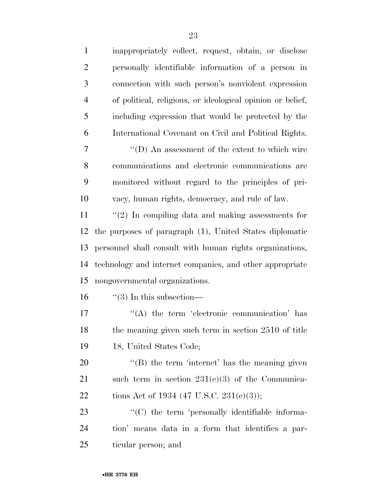| $\mathbf{1}$   | inappropriately collect, request, obtain, or disclose      |
|----------------|------------------------------------------------------------|
| $\overline{2}$ | personally identifiable information of a person in         |
| 3              | connection with such person's nonviolent expression        |
| $\overline{4}$ | of political, religious, or ideological opinion or belief, |
| 5              | including expression that would be protected by the        |
| 6              | International Covenant on Civil and Political Rights.      |
| 7              | "(D) An assessment of the extent to which wire             |
| 8              | communications and electronic communications are           |
| 9              | monitored without regard to the principles of pri-         |
| 10             | vacy, human rights, democracy, and rule of law.            |
| 11             | $\lq(2)$ In compiling data and making assessments for      |
| 12             | the purposes of paragraph (1), United States diplomatic    |
| 13             | personnel shall consult with human rights organizations,   |
| 14             | technology and internet companies, and other appropriate   |
| 15             | nongovernmental organizations.                             |
| 16             | $\lq(3)$ In this subsection—                               |
| 17             | "(A) the term 'electronic communication' has               |
| 18             | the meaning given such term in section 2510 of title       |
| 19             | 18, United States Code;                                    |
| 20             | $\lq\lq$ the term 'internet' has the meaning given         |
| 21             | such term in section $231(e)(3)$ of the Communica-         |
| 22             | tions Act of 1934 (47 U.S.C. 231(e)(3));                   |
| 23             | "(C) the term 'personally identifiable informa-            |
| 24             | tion' means data in a form that identifies a par-          |
| 25             | ticular person; and                                        |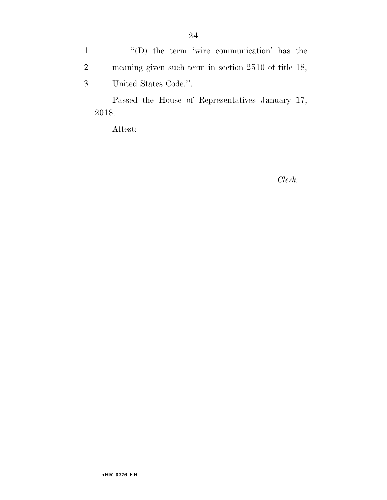1 ''(D) the term 'wire communication' has the 2 meaning given such term in section 2510 of title 18, 3 United States Code.''.

Passed the House of Representatives January 17, 2018.

Attest:

*Clerk.*